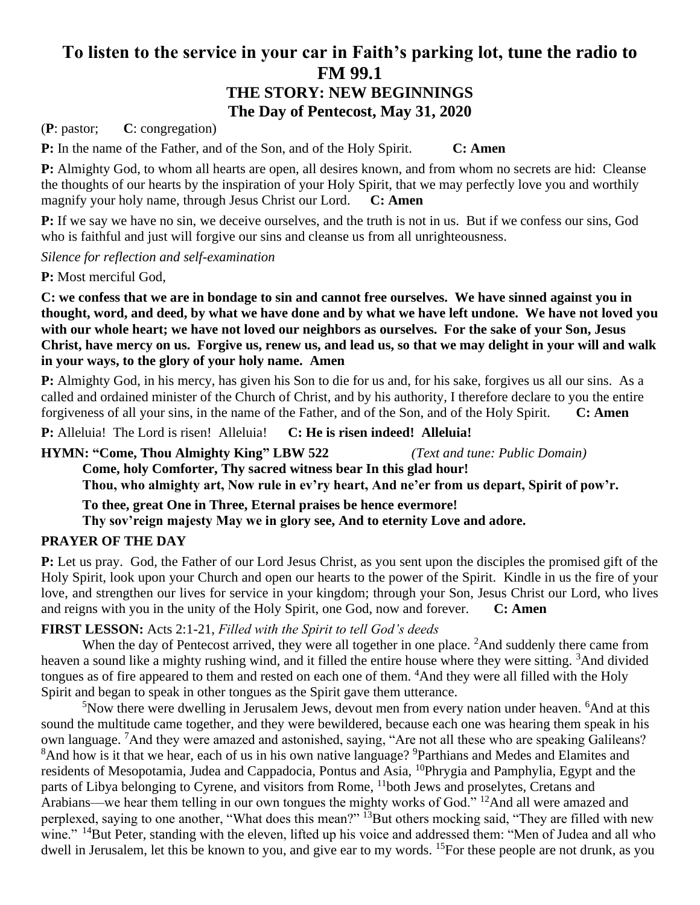# **To listen to the service in your car in Faith's parking lot, tune the radio to FM 99.1 THE STORY: NEW BEGINNINGS The Day of Pentecost, May 31, 2020**

(**P**: pastor; **C**: congregation)

**P:** In the name of the Father, and of the Son, and of the Holy Spirit. **C: Amen**

**P:** Almighty God, to whom all hearts are open, all desires known, and from whom no secrets are hid: Cleanse the thoughts of our hearts by the inspiration of your Holy Spirit, that we may perfectly love you and worthily magnify your holy name, through Jesus Christ our Lord. **C: Amen**

**P:** If we say we have no sin, we deceive ourselves, and the truth is not in us. But if we confess our sins, God who is faithful and just will forgive our sins and cleanse us from all unrighteousness.

*Silence for reflection and self-examination*

**P:** Most merciful God,

**C: we confess that we are in bondage to sin and cannot free ourselves. We have sinned against you in thought, word, and deed, by what we have done and by what we have left undone. We have not loved you with our whole heart; we have not loved our neighbors as ourselves. For the sake of your Son, Jesus Christ, have mercy on us. Forgive us, renew us, and lead us, so that we may delight in your will and walk in your ways, to the glory of your holy name. Amen**

**P:** Almighty God, in his mercy, has given his Son to die for us and, for his sake, forgives us all our sins. As a called and ordained minister of the Church of Christ, and by his authority, I therefore declare to you the entire forgiveness of all your sins, in the name of the Father, and of the Son, and of the Holy Spirit. **C: Amen**

**P:** Alleluia! The Lord is risen! Alleluia! **C: He is risen indeed! Alleluia!**

**HYMN: "Come, Thou Almighty King" LBW 522** *(Text and tune: Public Domain)*

**Come, holy Comforter, Thy sacred witness bear In this glad hour! Thou, who almighty art, Now rule in ev'ry heart, And ne'er from us depart, Spirit of pow'r.**

**To thee, great One in Three, Eternal praises be hence evermore!**

**Thy sov'reign majesty May we in glory see, And to eternity Love and adore.**

## **PRAYER OF THE DAY**

**P:** Let us pray. God, the Father of our Lord Jesus Christ, as you sent upon the disciples the promised gift of the Holy Spirit, look upon your Church and open our hearts to the power of the Spirit. Kindle in us the fire of your love, and strengthen our lives for service in your kingdom; through your Son, Jesus Christ our Lord, who lives and reigns with you in the unity of the Holy Spirit, one God, now and forever. **C: Amen**

## **FIRST LESSON:** Acts 2:1-21, *Filled with the Spirit to tell God's deeds*

When the day of Pentecost arrived, they were all together in one place. <sup>2</sup>And suddenly there came from heaven a sound like a mighty rushing wind, and it filled the entire house where they were sitting. <sup>3</sup>And divided tongues as of fire appeared to them and rested on each one of them. <sup>4</sup>And they were all filled with the Holy Spirit and began to speak in other tongues as the Spirit gave them utterance.

 $5$ Now there were dwelling in Jerusalem Jews, devout men from every nation under heaven.  $6$ And at this sound the multitude came together, and they were bewildered, because each one was hearing them speak in his own language. <sup>7</sup>And they were amazed and astonished, saying, "Are not all these who are speaking Galileans? <sup>8</sup>And how is it that we hear, each of us in his own native language? <sup>9</sup>Parthians and Medes and Elamites and residents of Mesopotamia, Judea and Cappadocia, Pontus and Asia, <sup>10</sup>Phrygia and Pamphylia, Egypt and the parts of Libya belonging to Cyrene, and visitors from Rome, <sup>11</sup>both Jews and proselytes, Cretans and Arabians—we hear them telling in our own tongues the mighty works of God." <sup>12</sup>And all were amazed and perplexed, saying to one another, "What does this mean?" <sup>13</sup>But others mocking said, "They are filled with new wine." <sup>14</sup>But Peter, standing with the eleven, lifted up his voice and addressed them: "Men of Judea and all who dwell in Jerusalem, let this be known to you, and give ear to my words. <sup>15</sup>For these people are not drunk, as you